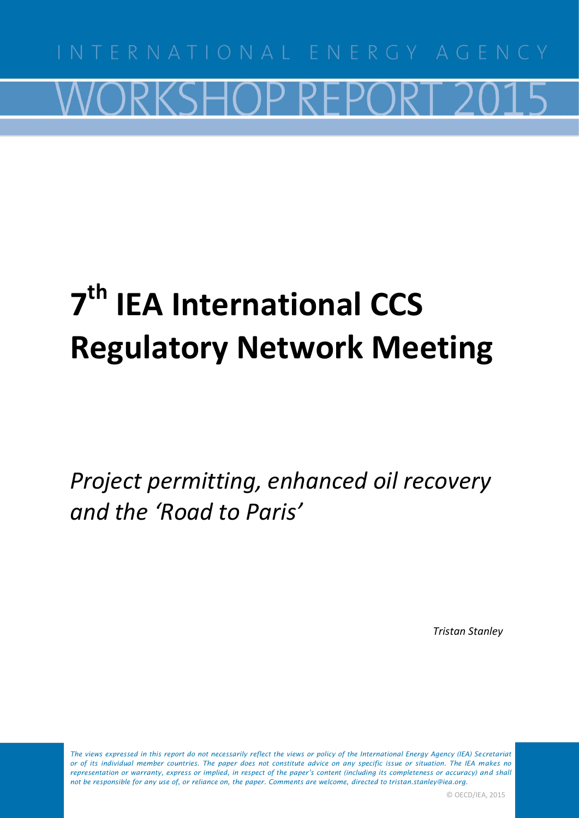## **7 th IEA International CCS Regulatory Network Meeting**

*Project permitting, enhanced oil recovery and the 'Road to Paris'*

*Tristan Stanley*

*The views expressed in this report do not necessarily reflect the views or policy of the International Energy Agency (IEA) Secretariat or of its individual member countries. The paper does not constitute advice on any specific issue or situation. The IEA makes no representation or warranty, express or implied, in respect of the paper's content (including its completeness or accuracy) and shall not be responsible for any use of, or reliance on, the paper. Comments are welcome, directed to tristan.stanley@iea.org.*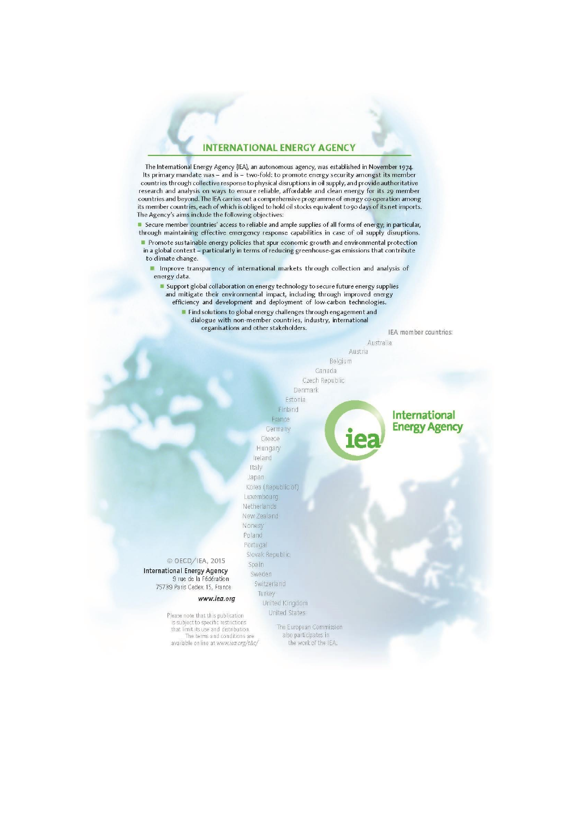#### **INTERNATIONAL ENERGY AGENCY**

The International Energy Agency (IEA), an autonomous agency, was established in November 1974. Its primary mandate was - and is - two-fold: to promote energy security amongst its member countries through collective response to physical disruptions in oil supply, and provide authoritative research and analysis on ways to ensure reliable, affordable and clean energy for its 29 member countries and beyond. The IEA carries out a comprehensive programme of energy co-operation among its member countries, each of which is obliged to hold oil stocks equivalent to 90 days of its net imports. The Agency's aims include the following objectives:

Secure member countries' access to reliable and ample supplies of all forms of energy; in particular, through maintaining effective emergency response capabilities in case of oil supply disruptions. Promote sustainable energy policies that spur economic growth and environmental protection

in a global context - particularly in terms of reducing greenhouse-gas emissions that contribute to dimate change.

Improve transparency of international markets through collection and analysis of energy data.

- Support global collaboration on energy technology to secure future energy supplies and mitigate their environmental impact, including through improved energy efficiency and development and deployment of low-carbon technologies.
	- Find solutions to global energy challenges through engagement and dialogue with non-member countries, industry, international organisations and other stakeholders.

France

Germany Greece Hungary Ireland Italy Japan Korea (Republic of) Luxembourg Netherlands New Zealand Norway Poland Portugal Slovak Republic

IFA member countries:

Australia Austria

Belgium Canada Czech Republic

Denmark Estonia Finland

© OECD/IEA, 2015 International Energy Agency 9 rue de la Fédération 75739 Paris Cedex 15, France

> United Kingdom Please note that this publication<br>is subject to specific restrictions<br>that limit its use and distribution.<br>The terms and conditions are United States The European Commission

Turkey

Switzerland

also participates in available online at www.iea.org/t&c/ the work of the IEA

www.iea.org

**International Energy Agency** 

Spain Sweden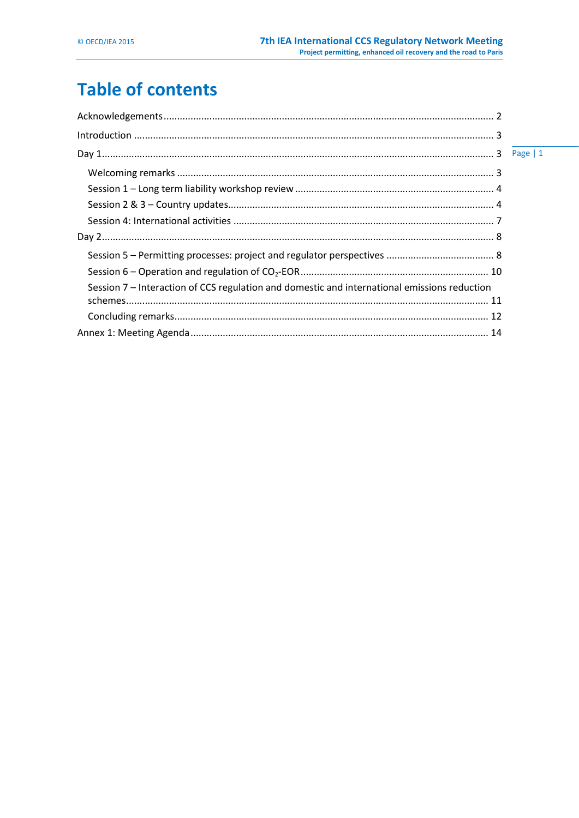### **Table of contents**

|                                                                                              | Page $ 1$ |
|----------------------------------------------------------------------------------------------|-----------|
|                                                                                              |           |
|                                                                                              |           |
|                                                                                              |           |
|                                                                                              |           |
|                                                                                              |           |
|                                                                                              |           |
|                                                                                              |           |
| Session 7 – Interaction of CCS regulation and domestic and international emissions reduction |           |
|                                                                                              |           |
|                                                                                              |           |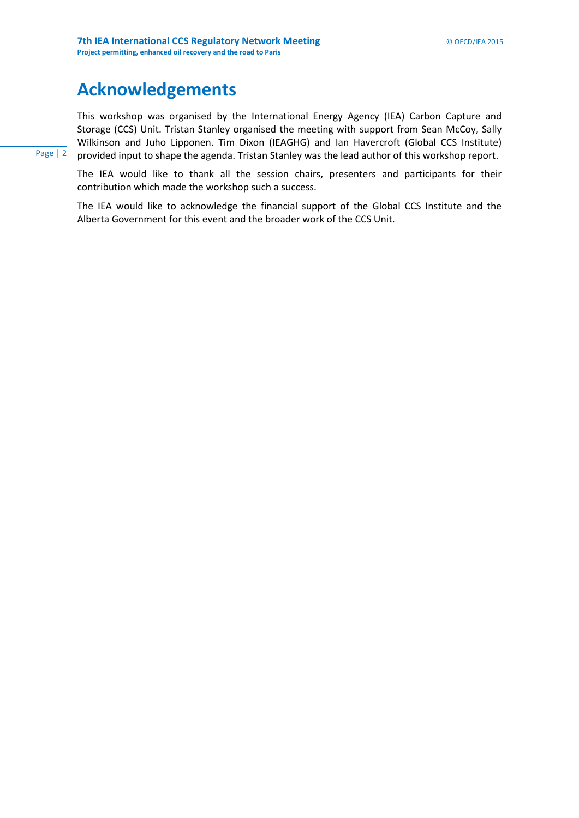#### <span id="page-3-0"></span>**Acknowledgements**

This workshop was organised by the International Energy Agency (IEA) Carbon Capture and Storage (CCS) Unit. Tristan Stanley organised the meeting with support from Sean McCoy, Sally Wilkinson and Juho Lipponen. Tim Dixon (IEAGHG) and Ian Havercroft (Global CCS Institute) provided input to shape the agenda. Tristan Stanley was the lead author of this workshop report.

The IEA would like to thank all the session chairs, presenters and participants for their contribution which made the workshop such a success.

The IEA would like to acknowledge the financial support of the Global CCS Institute and the Alberta Government for this event and the broader work of the CCS Unit.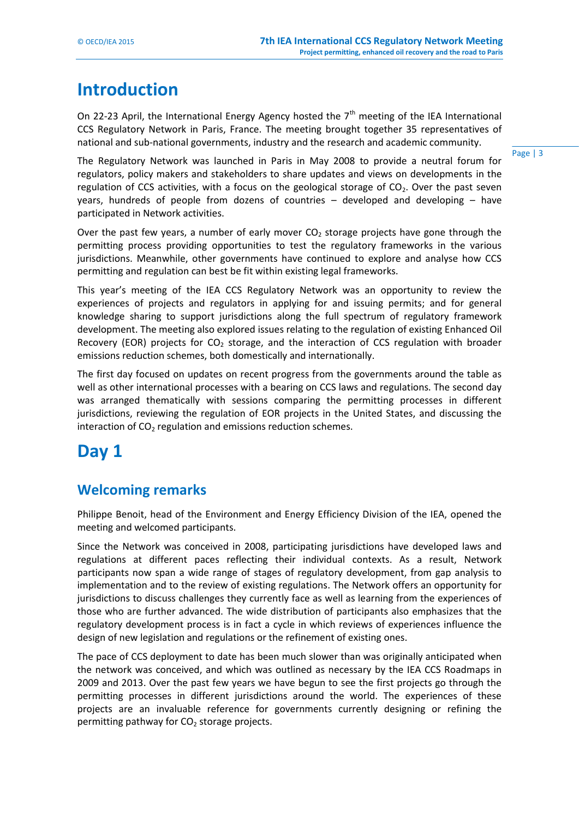#### <span id="page-4-0"></span>**Introduction**

On 22-23 April, the International Energy Agency hosted the  $7<sup>th</sup>$  meeting of the IEA International CCS Regulatory Network in Paris, France. The meeting brought together 35 representatives of national and sub-national governments, industry and the research and academic community.

Page | 3

The Regulatory Network was launched in Paris in May 2008 to provide a neutral forum for regulators, policy makers and stakeholders to share updates and views on developments in the regulation of CCS activities, with a focus on the geological storage of  $CO<sub>2</sub>$ . Over the past seven years, hundreds of people from dozens of countries – developed and developing – have participated in Network activities.

Over the past few years, a number of early mover  $CO<sub>2</sub>$  storage projects have gone through the permitting process providing opportunities to test the regulatory frameworks in the various jurisdictions. Meanwhile, other governments have continued to explore and analyse how CCS permitting and regulation can best be fit within existing legal frameworks.

This year's meeting of the IEA CCS Regulatory Network was an opportunity to review the experiences of projects and regulators in applying for and issuing permits; and for general knowledge sharing to support jurisdictions along the full spectrum of regulatory framework development. The meeting also explored issues relating to the regulation of existing Enhanced Oil Recovery (EOR) projects for  $CO<sub>2</sub>$  storage, and the interaction of CCS regulation with broader emissions reduction schemes, both domestically and internationally.

The first day focused on updates on recent progress from the governments around the table as well as other international processes with a bearing on CCS laws and regulations. The second day was arranged thematically with sessions comparing the permitting processes in different jurisdictions, reviewing the regulation of EOR projects in the United States, and discussing the interaction of  $CO<sub>2</sub>$  regulation and emissions reduction schemes.

#### <span id="page-4-1"></span>**Day 1**

#### <span id="page-4-2"></span>**Welcoming remarks**

Philippe Benoit, head of the Environment and Energy Efficiency Division of the IEA, opened the meeting and welcomed participants.

Since the Network was conceived in 2008, participating jurisdictions have developed laws and regulations at different paces reflecting their individual contexts. As a result, Network participants now span a wide range of stages of regulatory development, from gap analysis to implementation and to the review of existing regulations. The Network offers an opportunity for jurisdictions to discuss challenges they currently face as well as learning from the experiences of those who are further advanced. The wide distribution of participants also emphasizes that the regulatory development process is in fact a cycle in which reviews of experiences influence the design of new legislation and regulations or the refinement of existing ones.

The pace of CCS deployment to date has been much slower than was originally anticipated when the network was conceived, and which was outlined as necessary by the IEA CCS Roadmaps in 2009 and 2013. Over the past few years we have begun to see the first projects go through the permitting processes in different jurisdictions around the world. The experiences of these projects are an invaluable reference for governments currently designing or refining the permitting pathway for  $CO<sub>2</sub>$  storage projects.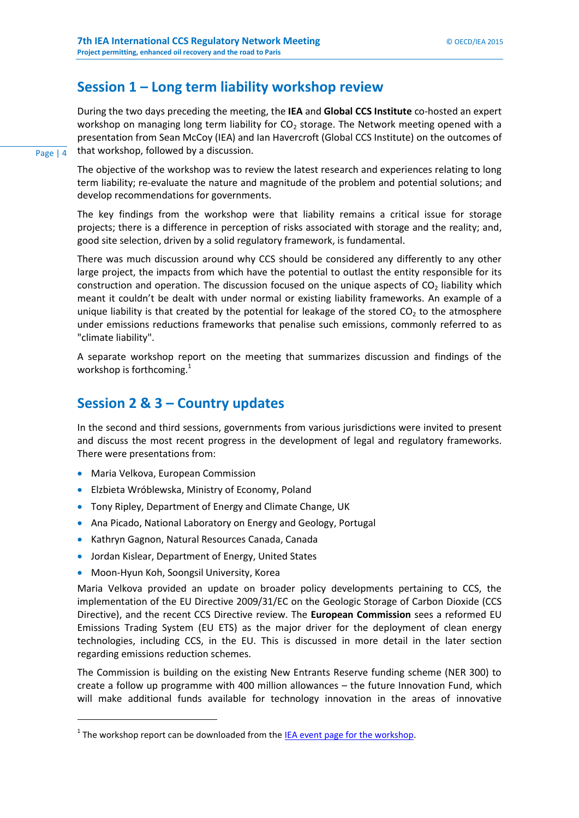#### <span id="page-5-0"></span>**Session 1 – Long term liability workshop review**

During the two days preceding the meeting, the **IEA** and **Global CCS Institute** co-hosted an expert workshop on managing long term liability for  $CO<sub>2</sub>$  storage. The Network meeting opened with a presentation from Sean McCoy (IEA) and Ian Havercroft (Global CCS Institute) on the outcomes of that workshop, followed by a discussion.

The objective of the workshop was to review the latest research and experiences relating to long term liability; re-evaluate the nature and magnitude of the problem and potential solutions; and develop recommendations for governments.

The key findings from the workshop were that liability remains a critical issue for storage projects; there is a difference in perception of risks associated with storage and the reality; and, good site selection, driven by a solid regulatory framework, is fundamental.

There was much discussion around why CCS should be considered any differently to any other large project, the impacts from which have the potential to outlast the entity responsible for its construction and operation. The discussion focused on the unique aspects of  $CO<sub>2</sub>$  liability which meant it couldn't be dealt with under normal or existing liability frameworks. An example of a unique liability is that created by the potential for leakage of the stored  $CO<sub>2</sub>$  to the atmosphere under emissions reductions frameworks that penalise such emissions, commonly referred to as "climate liability".

A separate workshop report on the meeting that summarizes discussion and findings of the workshop is forthcoming.<sup>1</sup>

#### <span id="page-5-1"></span>**Session 2 & 3 – Country updates**

In the second and third sessions, governments from various jurisdictions were invited to present and discuss the most recent progress in the development of legal and regulatory frameworks. There were presentations from:

- **•** Maria Velkova, European Commission
- Elzbieta Wróblewska, Ministry of Economy, Poland
- Tony Ripley, Department of Energy and Climate Change, UK
- Ana Picado, National Laboratory on Energy and Geology, Portugal
- Kathryn Gagnon, Natural Resources Canada, Canada
- Jordan Kislear, Department of Energy, United States
- Moon-Hyun Koh, Soongsil University, Korea

1

Maria Velkova provided an update on broader policy developments pertaining to CCS, the implementation of the EU Directive 2009/31/EC on the Geologic Storage of Carbon Dioxide (CCS Directive), and the recent CCS Directive review. The **European Commission** sees a reformed EU Emissions Trading System (EU ETS) as the major driver for the deployment of clean energy technologies, including CCS, in the EU. This is discussed in more detail in the later section regarding emissions reduction schemes.

The Commission is building on the existing New Entrants Reserve funding scheme (NER 300) to create a follow up programme with 400 million allowances – the future Innovation Fund, which will make additional funds available for technology innovation in the areas of innovative

<sup>&</sup>lt;sup>1</sup> The workshop report can be downloaded from the **IEA event page for the workshop**.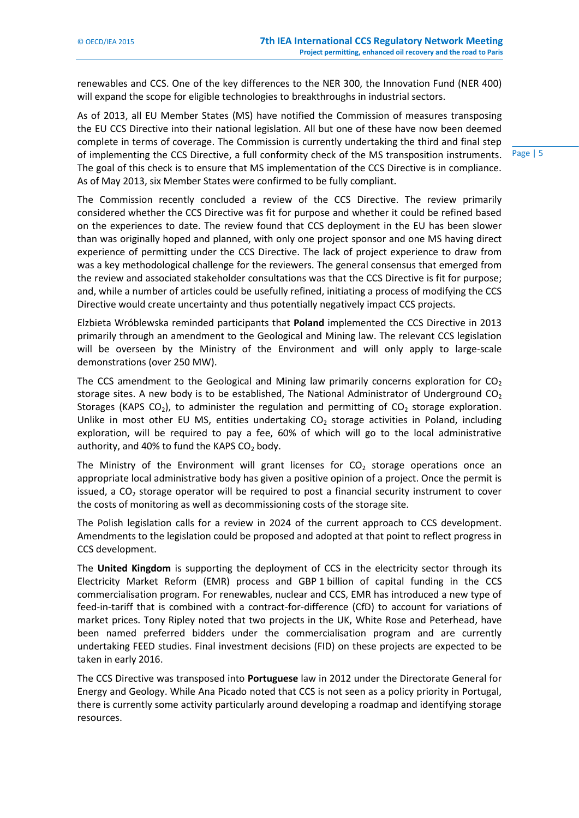renewables and CCS. One of the key differences to the NER 300, the Innovation Fund (NER 400) will expand the scope for eligible technologies to breakthroughs in industrial sectors.

of implementing the CCS Directive, a full conformity check of the MS transposition instruments. Page | 5 As of 2013, all EU Member States (MS) have notified the Commission of measures transposing the EU CCS Directive into their national legislation. All but one of these have now been deemed complete in terms of coverage. The Commission is currently undertaking the third and final step The goal of this check is to ensure that MS implementation of the CCS Directive is in compliance. As of May 2013, six Member States were confirmed to be fully compliant.

The Commission recently concluded a review of the CCS Directive. The review primarily considered whether the CCS Directive was fit for purpose and whether it could be refined based on the experiences to date. The review found that CCS deployment in the EU has been slower than was originally hoped and planned, with only one project sponsor and one MS having direct experience of permitting under the CCS Directive. The lack of project experience to draw from was a key methodological challenge for the reviewers. The general consensus that emerged from the review and associated stakeholder consultations was that the CCS Directive is fit for purpose; and, while a number of articles could be usefully refined, initiating a process of modifying the CCS Directive would create uncertainty and thus potentially negatively impact CCS projects.

Elzbieta Wróblewska reminded participants that **Poland** implemented the CCS Directive in 2013 primarily through an amendment to the Geological and Mining law. The relevant CCS legislation will be overseen by the Ministry of the Environment and will only apply to large-scale demonstrations (over 250 MW).

The CCS amendment to the Geological and Mining law primarily concerns exploration for  $CO<sub>2</sub>$ storage sites. A new body is to be established, The National Administrator of Underground  $CO<sub>2</sub>$ Storages (KAPS CO<sub>2</sub>), to administer the regulation and permitting of CO<sub>2</sub> storage exploration. Unlike in most other EU MS, entities undertaking  $CO<sub>2</sub>$  storage activities in Poland, including exploration, will be required to pay a fee, 60% of which will go to the local administrative authority, and 40% to fund the KAPS  $CO<sub>2</sub>$  body.

The Ministry of the Environment will grant licenses for  $CO<sub>2</sub>$  storage operations once an appropriate local administrative body has given a positive opinion of a project. Once the permit is issued, a  $CO<sub>2</sub>$  storage operator will be required to post a financial security instrument to cover the costs of monitoring as well as decommissioning costs of the storage site.

The Polish legislation calls for a review in 2024 of the current approach to CCS development. Amendments to the legislation could be proposed and adopted at that point to reflect progress in CCS development.

The **United Kingdom** is supporting the deployment of CCS in the electricity sector through its Electricity Market Reform (EMR) process and GBP 1 billion of capital funding in the CCS commercialisation program. For renewables, nuclear and CCS, EMR has introduced a new type of feed-in-tariff that is combined with a contract-for-difference (CfD) to account for variations of market prices. Tony Ripley noted that two projects in the UK, White Rose and Peterhead, have been named preferred bidders under the commercialisation program and are currently undertaking FEED studies. Final investment decisions (FID) on these projects are expected to be taken in early 2016.

The CCS Directive was transposed into **Portuguese** law in 2012 under the Directorate General for Energy and Geology. While Ana Picado noted that CCS is not seen as a policy priority in Portugal, there is currently some activity particularly around developing a roadmap and identifying storage resources.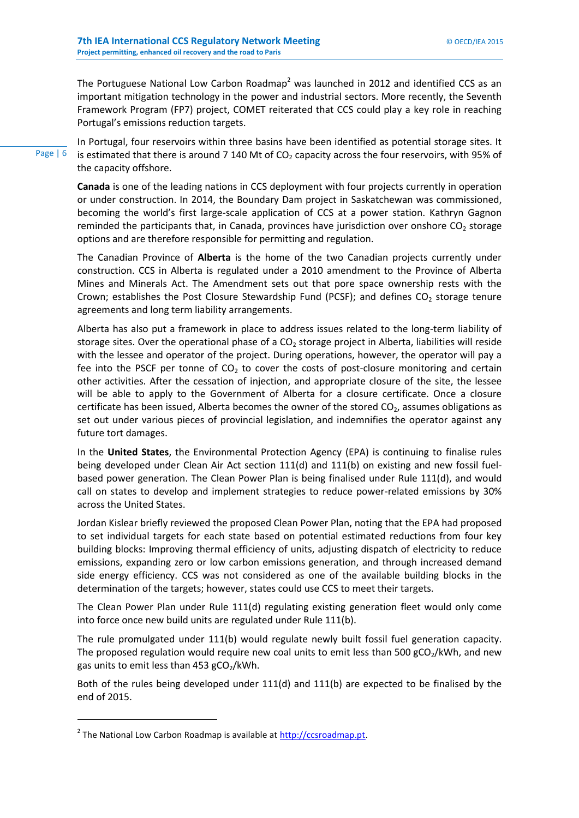The Portuguese National Low Carbon Roadmap<sup>2</sup> was launched in 2012 and identified CCS as an important mitigation technology in the power and industrial sectors. More recently, the Seventh Framework Program (FP7) project, COMET reiterated that CCS could play a key role in reaching Portugal's emissions reduction targets.

In Portugal, four reservoirs within three basins have been identified as potential storage sites. It is estimated that there is around 7 140 Mt of  $CO<sub>2</sub>$  capacity across the four reservoirs, with 95% of the capacity offshore.

**Canada** is one of the leading nations in CCS deployment with four projects currently in operation or under construction. In 2014, the Boundary Dam project in Saskatchewan was commissioned, becoming the world's first large-scale application of CCS at a power station. Kathryn Gagnon reminded the participants that, in Canada, provinces have jurisdiction over onshore  $CO<sub>2</sub>$  storage options and are therefore responsible for permitting and regulation.

The Canadian Province of **Alberta** is the home of the two Canadian projects currently under construction. CCS in Alberta is regulated under a 2010 amendment to the Province of Alberta Mines and Minerals Act. The Amendment sets out that pore space ownership rests with the Crown; establishes the Post Closure Stewardship Fund (PCSF); and defines  $CO<sub>2</sub>$  storage tenure agreements and long term liability arrangements.

Alberta has also put a framework in place to address issues related to the long-term liability of storage sites. Over the operational phase of a  $CO<sub>2</sub>$  storage project in Alberta, liabilities will reside with the lessee and operator of the project. During operations, however, the operator will pay a fee into the PSCF per tonne of  $CO<sub>2</sub>$  to cover the costs of post-closure monitoring and certain other activities. After the cessation of injection, and appropriate closure of the site, the lessee will be able to apply to the Government of Alberta for a closure certificate. Once a closure certificate has been issued, Alberta becomes the owner of the stored  $CO<sub>2</sub>$ , assumes obligations as set out under various pieces of provincial legislation, and indemnifies the operator against any future tort damages.

In the **United States**, the Environmental Protection Agency (EPA) is continuing to finalise rules being developed under Clean Air Act section 111(d) and 111(b) on existing and new fossil fuelbased power generation. The Clean Power Plan is being finalised under Rule 111(d), and would call on states to develop and implement strategies to reduce power-related emissions by 30% across the United States.

Jordan Kislear briefly reviewed the proposed Clean Power Plan, noting that the EPA had proposed to set individual targets for each state based on potential estimated reductions from four key building blocks: Improving thermal efficiency of units, adjusting dispatch of electricity to reduce emissions, expanding zero or low carbon emissions generation, and through increased demand side energy efficiency. CCS was not considered as one of the available building blocks in the determination of the targets; however, states could use CCS to meet their targets.

The Clean Power Plan under Rule 111(d) regulating existing generation fleet would only come into force once new build units are regulated under Rule 111(b).

The rule promulgated under 111(b) would regulate newly built fossil fuel generation capacity. The proposed regulation would require new coal units to emit less than 500  $gCO<sub>2</sub>/kWh$ , and new gas units to emit less than  $453$  gCO<sub>2</sub>/kWh.

Both of the rules being developed under 111(d) and 111(b) are expected to be finalised by the end of 2015.

Page | 6

1

<sup>&</sup>lt;sup>2</sup> The National Low Carbon Roadmap is available at [http://ccsroadmap.pt.](http://ccsroadmap.pt/)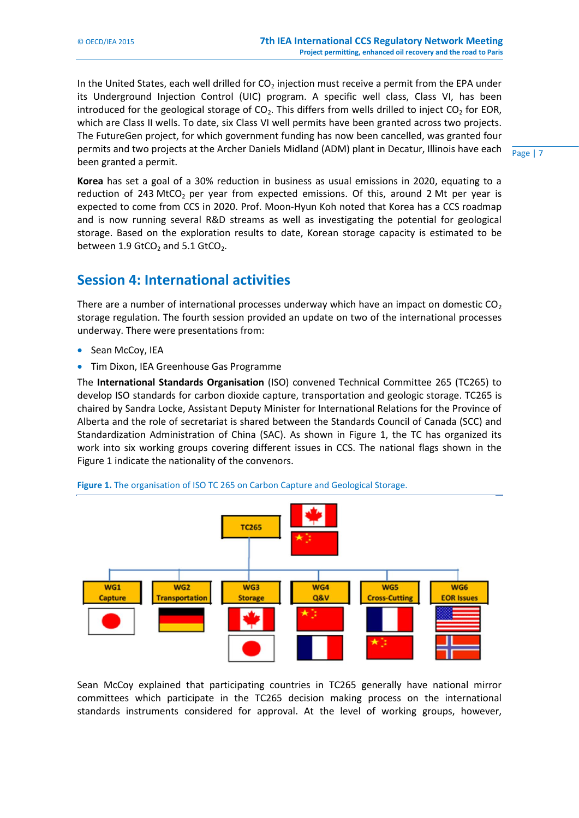In the United States, each well drilled for  $CO<sub>2</sub>$  injection must receive a permit from the EPA under its Underground Injection Control (UIC) program. A specific well class, Class VI, has been introduced for the geological storage of  $CO<sub>2</sub>$ . This differs from wells drilled to inject  $CO<sub>2</sub>$  for EOR, which are Class II wells. To date, six Class VI well permits have been granted across two projects. The FutureGen project, for which government funding has now been cancelled, was granted four permits and two projects at the Archer Daniels Midland (ADM) plant in Decatur, Illinois have each been granted a permit.

**Korea** has set a goal of a 30% reduction in business as usual emissions in 2020, equating to a reduction of 243 MtCO<sub>2</sub> per year from expected emissions. Of this, around 2 Mt per year is expected to come from CCS in 2020. Prof. Moon-Hyun Koh noted that Korea has a CCS roadmap and is now running several R&D streams as well as investigating the potential for geological storage. Based on the exploration results to date, Korean storage capacity is estimated to be between 1.9 GtCO<sub>2</sub> and 5.1 GtCO<sub>2</sub>.

#### <span id="page-8-0"></span>**Session 4: International activities**

There are a number of international processes underway which have an impact on domestic  $CO<sub>2</sub>$ storage regulation. The fourth session provided an update on two of the international processes underway. There were presentations from:

- Sean McCoy, IEA
- **•** Tim Dixon, IEA Greenhouse Gas Programme

The **International Standards Organisation** (ISO) convened Technical Committee 265 (TC265) to develop ISO standards for carbon dioxide capture, transportation and geologic storage. TC265 is chaired by Sandra Locke, Assistant Deputy Minister for International Relations for the Province of Alberta and the role of secretariat is shared between the Standards Council of Canada (SCC) and Standardization Administration of China (SAC). As shown in Figure 1, the TC has organized its work into six working groups covering different issues in CCS. The national flags shown in the Figure 1 indicate the nationality of the convenors.



**Figure 1.** The organisation of ISO TC 265 on Carbon Capture and Geological Storage.

Sean McCoy explained that participating countries in TC265 generally have national mirror committees which participate in the TC265 decision making process on the international standards instruments considered for approval. At the level of working groups, however,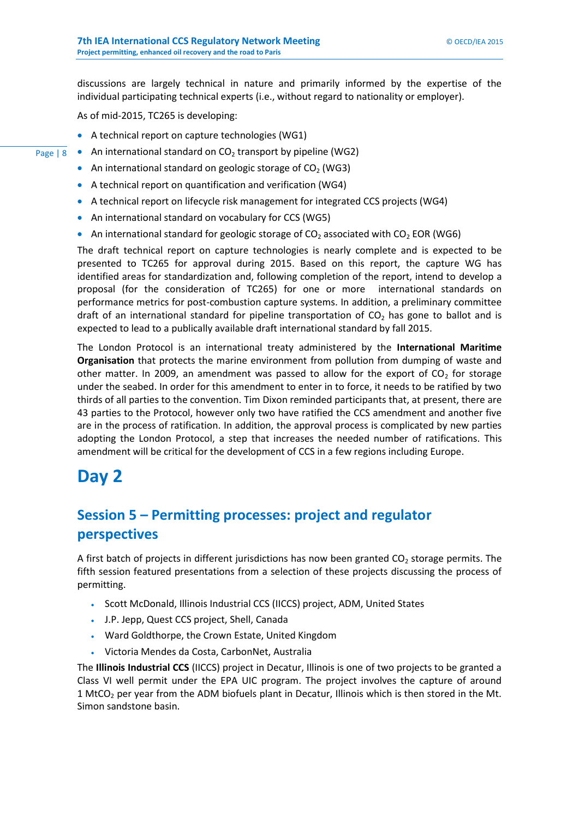discussions are largely technical in nature and primarily informed by the expertise of the individual participating technical experts (i.e., without regard to nationality or employer).

As of mid-2015, TC265 is developing:

Page | 8

- A technical report on capture technologies (WG1)
- An international standard on  $CO<sub>2</sub>$  transport by pipeline (WG2)
	- An international standard on geologic storage of  $CO<sub>2</sub>$  (WG3)
	- A technical report on quantification and verification (WG4)
- A technical report on lifecycle risk management for integrated CCS projects (WG4)
- An international standard on vocabulary for CCS (WG5)
- An international standard for geologic storage of  $CO<sub>2</sub>$  associated with  $CO<sub>2</sub>$  EOR (WG6)

The draft technical report on capture technologies is nearly complete and is expected to be presented to TC265 for approval during 2015. Based on this report, the capture WG has identified areas for standardization and, following completion of the report, intend to develop a proposal (for the consideration of TC265) for one or more international standards on performance metrics for post-combustion capture systems. In addition, a preliminary committee draft of an international standard for pipeline transportation of  $CO<sub>2</sub>$  has gone to ballot and is expected to lead to a publically available draft international standard by fall 2015.

The London Protocol is an international treaty administered by the **International Maritime Organisation** that protects the marine environment from pollution from dumping of waste and other matter. In 2009, an amendment was passed to allow for the export of  $CO<sub>2</sub>$  for storage under the seabed. In order for this amendment to enter in to force, it needs to be ratified by two thirds of all parties to the convention. Tim Dixon reminded participants that, at present, there are 43 parties to the Protocol, however only two have ratified the CCS amendment and another five are in the process of ratification. In addition, the approval process is complicated by new parties adopting the London Protocol, a step that increases the needed number of ratifications. This amendment will be critical for the development of CCS in a few regions including Europe.

### <span id="page-9-0"></span>**Day 2**

#### <span id="page-9-1"></span>**Session 5 – Permitting processes: project and regulator perspectives**

A first batch of projects in different jurisdictions has now been granted  $CO<sub>2</sub>$  storage permits. The fifth session featured presentations from a selection of these projects discussing the process of permitting.

- Scott McDonald, Illinois Industrial CCS (IICCS) project, ADM, United States
- J.P. Jepp, Quest CCS project, Shell, Canada
- Ward Goldthorpe, the Crown Estate, United Kingdom
- Victoria Mendes da Costa, CarbonNet, Australia

The **Illinois Industrial CCS** (IICCS) project in Decatur, Illinois is one of two projects to be granted a Class VI well permit under the EPA UIC program. The project involves the capture of around 1 MtCO<sub>2</sub> per year from the ADM biofuels plant in Decatur, Illinois which is then stored in the Mt. Simon sandstone basin.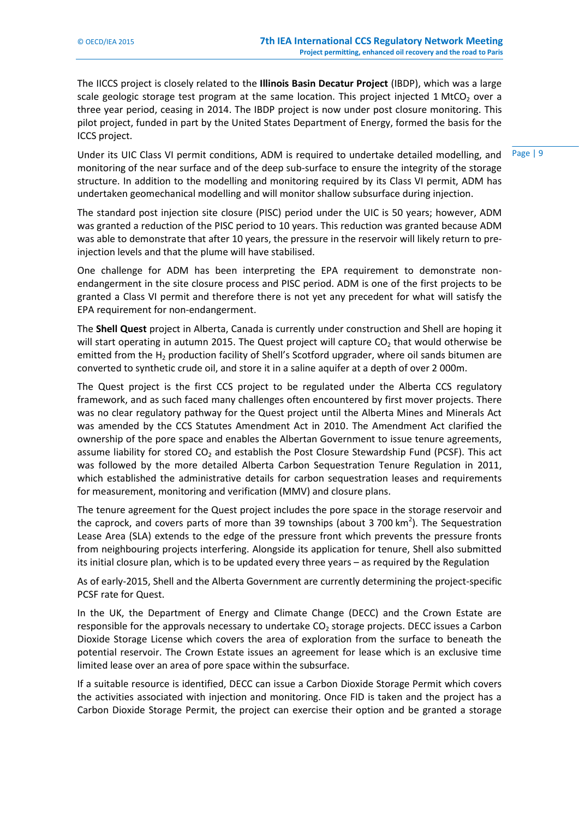The IICCS project is closely related to the **Illinois Basin Decatur Project** (IBDP), which was a large scale geologic storage test program at the same location. This project injected 1 MtCO<sub>2</sub> over a three year period, ceasing in 2014. The IBDP project is now under post closure monitoring. This pilot project, funded in part by the United States Department of Energy, formed the basis for the ICCS project.

Under its UIC Class VI permit conditions, ADM is required to undertake detailed modelling, and monitoring of the near surface and of the deep sub-surface to ensure the integrity of the storage structure. In addition to the modelling and monitoring required by its Class VI permit, ADM has undertaken geomechanical modelling and will monitor shallow subsurface during injection.

The standard post injection site closure (PISC) period under the UIC is 50 years; however, ADM was granted a reduction of the PISC period to 10 years. This reduction was granted because ADM was able to demonstrate that after 10 years, the pressure in the reservoir will likely return to preinjection levels and that the plume will have stabilised.

One challenge for ADM has been interpreting the EPA requirement to demonstrate nonendangerment in the site closure process and PISC period. ADM is one of the first projects to be granted a Class VI permit and therefore there is not yet any precedent for what will satisfy the EPA requirement for non-endangerment.

The **Shell Quest** project in Alberta, Canada is currently under construction and Shell are hoping it will start operating in autumn 2015. The Quest project will capture  $CO<sub>2</sub>$  that would otherwise be emitted from the  $H_2$  production facility of Shell's Scotford upgrader, where oil sands bitumen are converted to synthetic crude oil, and store it in a saline aquifer at a depth of over 2 000m.

The Quest project is the first CCS project to be regulated under the Alberta CCS regulatory framework, and as such faced many challenges often encountered by first mover projects. There was no clear regulatory pathway for the Quest project until the Alberta Mines and Minerals Act was amended by the CCS Statutes Amendment Act in 2010. The Amendment Act clarified the ownership of the pore space and enables the Albertan Government to issue tenure agreements, assume liability for stored  $CO<sub>2</sub>$  and establish the Post Closure Stewardship Fund (PCSF). This act was followed by the more detailed Alberta Carbon Sequestration Tenure Regulation in 2011, which established the administrative details for carbon sequestration leases and requirements for measurement, monitoring and verification (MMV) and closure plans.

The tenure agreement for the Quest project includes the pore space in the storage reservoir and the caprock, and covers parts of more than 39 townships (about 3 700 km<sup>2</sup>). The Sequestration Lease Area (SLA) extends to the edge of the pressure front which prevents the pressure fronts from neighbouring projects interfering. Alongside its application for tenure, Shell also submitted its initial closure plan, which is to be updated every three years – as required by the Regulation

As of early-2015, Shell and the Alberta Government are currently determining the project-specific PCSF rate for Quest.

In the UK, the Department of Energy and Climate Change (DECC) and the Crown Estate are responsible for the approvals necessary to undertake  $CO<sub>2</sub>$  storage projects. DECC issues a Carbon Dioxide Storage License which covers the area of exploration from the surface to beneath the potential reservoir. The Crown Estate issues an agreement for lease which is an exclusive time limited lease over an area of pore space within the subsurface.

If a suitable resource is identified, DECC can issue a Carbon Dioxide Storage Permit which covers the activities associated with injection and monitoring. Once FID is taken and the project has a Carbon Dioxide Storage Permit, the project can exercise their option and be granted a storage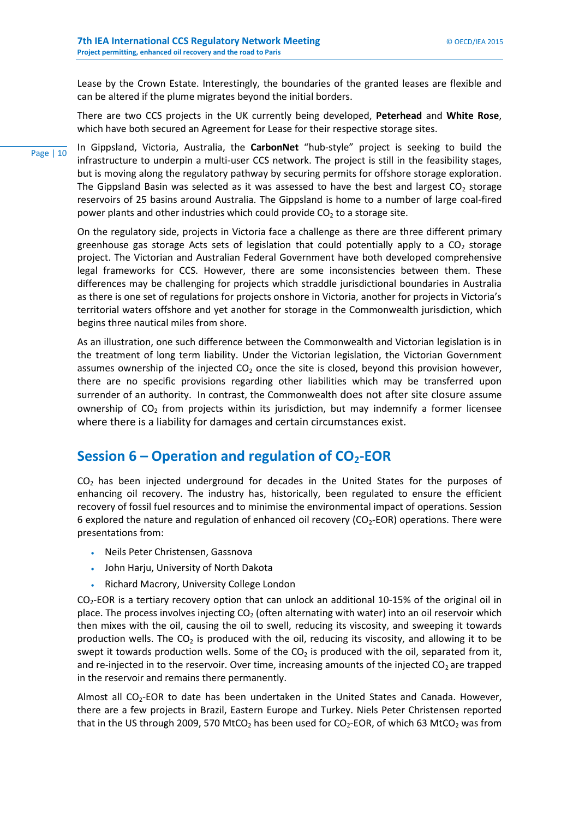Lease by the Crown Estate. Interestingly, the boundaries of the granted leases are flexible and can be altered if the plume migrates beyond the initial borders.

There are two CCS projects in the UK currently being developed, **Peterhead** and **White Rose**, which have both secured an Agreement for Lease for their respective storage sites.

Page | 10 In Gippsland, Victoria, Australia, the **CarbonNet** "hub-style" project is seeking to build the infrastructure to underpin a multi-user CCS network. The project is still in the feasibility stages, but is moving along the regulatory pathway by securing permits for offshore storage exploration. The Gippsland Basin was selected as it was assessed to have the best and largest  $CO<sub>2</sub>$  storage reservoirs of 25 basins around Australia. The Gippsland is home to a number of large coal-fired power plants and other industries which could provide  $CO<sub>2</sub>$  to a storage site.

On the regulatory side, projects in Victoria face a challenge as there are three different primary greenhouse gas storage Acts sets of legislation that could potentially apply to a  $CO<sub>2</sub>$  storage project. The Victorian and Australian Federal Government have both developed comprehensive legal frameworks for CCS. However, there are some inconsistencies between them. These differences may be challenging for projects which straddle jurisdictional boundaries in Australia as there is one set of regulations for projects onshore in Victoria, another for projects in Victoria's territorial waters offshore and yet another for storage in the Commonwealth jurisdiction, which begins three nautical miles from shore.

As an illustration, one such difference between the Commonwealth and Victorian legislation is in the treatment of long term liability. Under the Victorian legislation, the Victorian Government assumes ownership of the injected  $CO<sub>2</sub>$  once the site is closed, beyond this provision however, there are no specific provisions regarding other liabilities which may be transferred upon surrender of an authority. In contrast, the Commonwealth does not after site closure assume ownership of  $CO<sub>2</sub>$  from projects within its jurisdiction, but may indemnify a former licensee where there is a liability for damages and certain circumstances exist.

#### <span id="page-11-0"></span>**Session 6 – Operation and regulation of CO2-EOR**

 $CO<sub>2</sub>$  has been injected underground for decades in the United States for the purposes of enhancing oil recovery. The industry has, historically, been regulated to ensure the efficient recovery of fossil fuel resources and to minimise the environmental impact of operations. Session 6 explored the nature and regulation of enhanced oil recovery ( $CO<sub>2</sub>$ -EOR) operations. There were presentations from:

- Neils Peter Christensen, Gassnova
- John Harju, University of North Dakota
- Richard Macrory, University College London

 $CO<sub>2</sub>$ -EOR is a tertiary recovery option that can unlock an additional 10-15% of the original oil in place. The process involves injecting  $CO<sub>2</sub>$  (often alternating with water) into an oil reservoir which then mixes with the oil, causing the oil to swell, reducing its viscosity, and sweeping it towards production wells. The  $CO<sub>2</sub>$  is produced with the oil, reducing its viscosity, and allowing it to be swept it towards production wells. Some of the  $CO<sub>2</sub>$  is produced with the oil, separated from it, and re-injected in to the reservoir. Over time, increasing amounts of the injected  $CO<sub>2</sub>$  are trapped in the reservoir and remains there permanently.

Almost all  $CO<sub>2</sub>$ -EOR to date has been undertaken in the United States and Canada. However, there are a few projects in Brazil, Eastern Europe and Turkey. Niels Peter Christensen reported that in the US through 2009, 570 MtCO<sub>2</sub> has been used for CO<sub>2</sub>-EOR, of which 63 MtCO<sub>2</sub> was from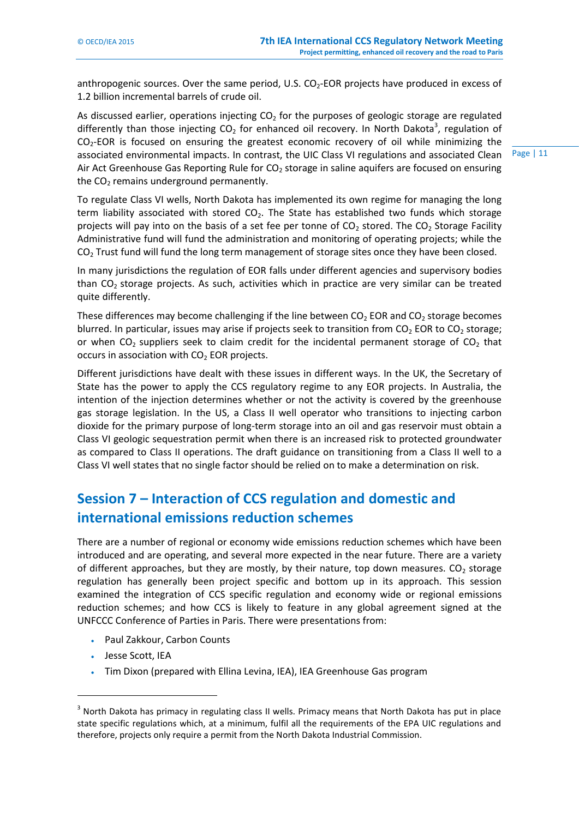anthropogenic sources. Over the same period, U.S.  $CO<sub>2</sub>$ -EOR projects have produced in excess of 1.2 billion incremental barrels of crude oil.

associated environmental impacts. In contrast, the UIC Class VI regulations and associated Clean Page | 11 As discussed earlier, operations injecting  $CO<sub>2</sub>$  for the purposes of geologic storage are regulated differently than those injecting  $CO<sub>2</sub>$  for enhanced oil recovery. In North Dakota<sup>3</sup>, regulation of  $CO<sub>2</sub>$ -EOR is focused on ensuring the greatest economic recovery of oil while minimizing the Air Act Greenhouse Gas Reporting Rule for  $CO<sub>2</sub>$  storage in saline aquifers are focused on ensuring the  $CO<sub>2</sub>$  remains underground permanently.

To regulate Class VI wells, North Dakota has implemented its own regime for managing the long term liability associated with stored  $CO<sub>2</sub>$ . The State has established two funds which storage projects will pay into on the basis of a set fee per tonne of  $CO<sub>2</sub>$  stored. The  $CO<sub>2</sub>$  Storage Facility Administrative fund will fund the administration and monitoring of operating projects; while the  $CO<sub>2</sub>$  Trust fund will fund the long term management of storage sites once they have been closed.

In many jurisdictions the regulation of EOR falls under different agencies and supervisory bodies than CO<sub>2</sub> storage projects. As such, activities which in practice are very similar can be treated quite differently.

These differences may become challenging if the line between  $CO<sub>2</sub>$  EOR and  $CO<sub>2</sub>$  storage becomes blurred. In particular, issues may arise if projects seek to transition from  $CO<sub>2</sub>$  EOR to  $CO<sub>2</sub>$  storage; or when  $CO<sub>2</sub>$  suppliers seek to claim credit for the incidental permanent storage of  $CO<sub>2</sub>$  that occurs in association with  $CO<sub>2</sub>$  EOR projects.

Different jurisdictions have dealt with these issues in different ways. In the UK, the Secretary of State has the power to apply the CCS regulatory regime to any EOR projects. In Australia, the intention of the injection determines whether or not the activity is covered by the greenhouse gas storage legislation. In the US, a Class II well operator who transitions to injecting carbon dioxide for the primary purpose of long-term storage into an oil and gas reservoir must obtain a Class VI geologic sequestration permit when there is an increased risk to protected groundwater as compared to Class II operations. The draft guidance on transitioning from a Class II well to a Class VI well states that no single factor should be relied on to make a determination on risk.

#### <span id="page-12-0"></span>**Session 7 – Interaction of CCS regulation and domestic and international emissions reduction schemes**

There are a number of regional or economy wide emissions reduction schemes which have been introduced and are operating, and several more expected in the near future. There are a variety of different approaches, but they are mostly, by their nature, top down measures.  $CO<sub>2</sub>$  storage regulation has generally been project specific and bottom up in its approach. This session examined the integration of CCS specific regulation and economy wide or regional emissions reduction schemes; and how CCS is likely to feature in any global agreement signed at the UNFCCC Conference of Parties in Paris. There were presentations from:

- Paul Zakkour, Carbon Counts
- Jesse Scott, IEA

1

Tim Dixon (prepared with Ellina Levina, IEA), IEA Greenhouse Gas program

<sup>&</sup>lt;sup>3</sup> North Dakota has primacy in regulating class II wells. Primacy means that North Dakota has put in place state specific regulations which, at a minimum, fulfil all the requirements of the EPA UIC regulations and therefore, projects only require a permit from the North Dakota Industrial Commission.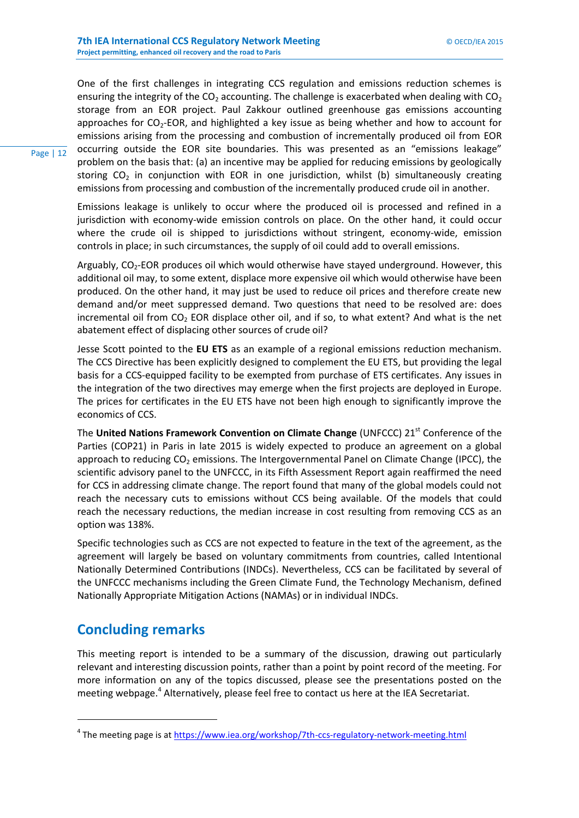One of the first challenges in integrating CCS regulation and emissions reduction schemes is ensuring the integrity of the  $CO<sub>2</sub>$  accounting. The challenge is exacerbated when dealing with  $CO<sub>2</sub>$ storage from an EOR project. Paul Zakkour outlined greenhouse gas emissions accounting approaches for  $CO<sub>2</sub>$ -EOR, and highlighted a key issue as being whether and how to account for emissions arising from the processing and combustion of incrementally produced oil from EOR occurring outside the EOR site boundaries. This was presented as an "emissions leakage" problem on the basis that: (a) an incentive may be applied for reducing emissions by geologically storing  $CO<sub>2</sub>$  in conjunction with EOR in one jurisdiction, whilst (b) simultaneously creating emissions from processing and combustion of the incrementally produced crude oil in another.

Emissions leakage is unlikely to occur where the produced oil is processed and refined in a jurisdiction with economy-wide emission controls on place. On the other hand, it could occur where the crude oil is shipped to jurisdictions without stringent, economy-wide, emission controls in place; in such circumstances, the supply of oil could add to overall emissions.

Arguably,  $CO<sub>2</sub>$ -EOR produces oil which would otherwise have stayed underground. However, this additional oil may, to some extent, displace more expensive oil which would otherwise have been produced. On the other hand, it may just be used to reduce oil prices and therefore create new demand and/or meet suppressed demand. Two questions that need to be resolved are: does incremental oil from  $CO<sub>2</sub>$  EOR displace other oil, and if so, to what extent? And what is the net abatement effect of displacing other sources of crude oil?

Jesse Scott pointed to the **EU ETS** as an example of a regional emissions reduction mechanism. The CCS Directive has been explicitly designed to complement the EU ETS, but providing the legal basis for a CCS-equipped facility to be exempted from purchase of ETS certificates. Any issues in the integration of the two directives may emerge when the first projects are deployed in Europe. The prices for certificates in the EU ETS have not been high enough to significantly improve the economics of CCS.

The **United Nations Framework Convention on Climate Change** (UNFCCC) 21<sup>st</sup> Conference of the Parties (COP21) in Paris in late 2015 is widely expected to produce an agreement on a global approach to reducing  $CO<sub>2</sub>$  emissions. The Intergovernmental Panel on Climate Change (IPCC), the scientific advisory panel to the UNFCCC, in its Fifth Assessment Report again reaffirmed the need for CCS in addressing climate change. The report found that many of the global models could not reach the necessary cuts to emissions without CCS being available. Of the models that could reach the necessary reductions, the median increase in cost resulting from removing CCS as an option was 138%.

Specific technologies such as CCS are not expected to feature in the text of the agreement, as the agreement will largely be based on voluntary commitments from countries, called Intentional Nationally Determined Contributions (INDCs). Nevertheless, CCS can be facilitated by several of the UNFCCC mechanisms including the Green Climate Fund, the Technology Mechanism, defined Nationally Appropriate Mitigation Actions (NAMAs) or in individual INDCs.

#### <span id="page-13-0"></span>**Concluding remarks**

1

This meeting report is intended to be a summary of the discussion, drawing out particularly relevant and interesting discussion points, rather than a point by point record of the meeting. For more information on any of the topics discussed, please see the presentations posted on the meeting webpage.<sup>4</sup> Alternatively, please feel free to contact us here at the IEA Secretariat.

<sup>&</sup>lt;sup>4</sup> The meeting page is at<https://www.iea.org/workshop/7th-ccs-regulatory-network-meeting.html>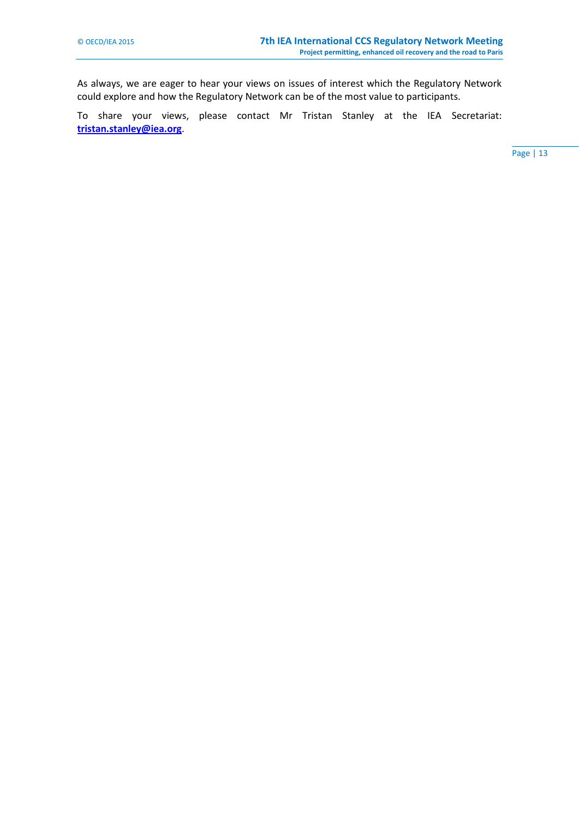As always, we are eager to hear your views on issues of interest which the Regulatory Network could explore and how the Regulatory Network can be of the most value to participants.

To share your views, please contact Mr Tristan Stanley at the IEA Secretariat: **[tristan.stanley@iea.org](mailto:tristan.stanley@iea.org)**.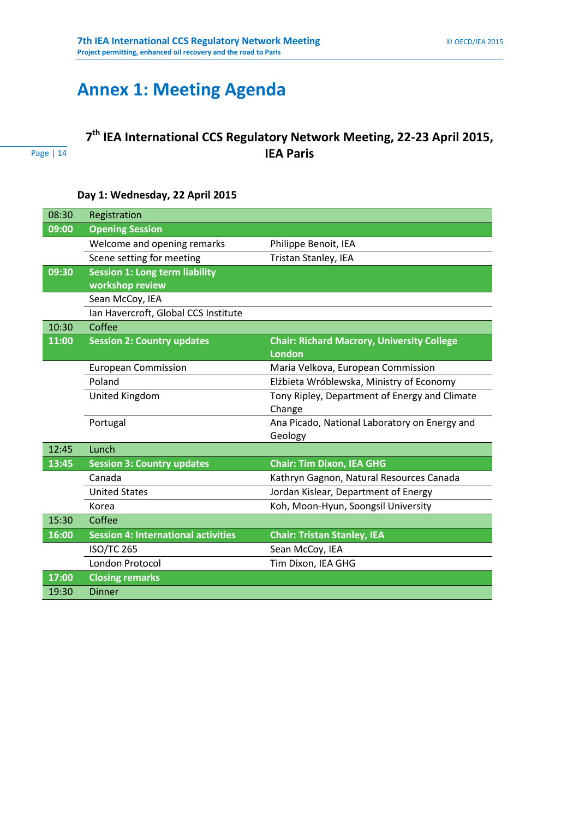#### <span id="page-15-0"></span>**Annex 1: Meeting Agenda**

#### Page | 14

#### **Day 1: Wednesday, 22 April 2015**

| 08:30 | Registration                               |                                                   |
|-------|--------------------------------------------|---------------------------------------------------|
| 09:00 | <b>Opening Session</b>                     |                                                   |
|       | Welcome and opening remarks                | Philippe Benoit, IEA                              |
|       | Scene setting for meeting                  | Tristan Stanley, IEA                              |
| 09:30 | <b>Session 1: Long term liability</b>      |                                                   |
|       | workshop review                            |                                                   |
|       | Sean McCoy, IEA                            |                                                   |
|       | Ian Havercroft, Global CCS Institute       |                                                   |
| 10:30 | Coffee                                     |                                                   |
| 11:00 | <b>Session 2: Country updates</b>          | <b>Chair: Richard Macrory, University College</b> |
|       |                                            | <b>London</b>                                     |
|       | <b>European Commission</b>                 | Maria Velkova, European Commission                |
|       | Poland                                     | Elżbieta Wróblewska, Ministry of Economy          |
|       | United Kingdom                             | Tony Ripley, Department of Energy and Climate     |
|       |                                            | Change                                            |
|       | Portugal                                   | Ana Picado, National Laboratory on Energy and     |
|       |                                            | Geology                                           |
| 12:45 | Lunch                                      |                                                   |
| 13:45 | <b>Session 3: Country updates</b>          | <b>Chair: Tim Dixon, IEA GHG</b>                  |
|       | Canada                                     | Kathryn Gagnon, Natural Resources Canada          |
|       | <b>United States</b>                       | Jordan Kislear, Department of Energy              |
|       | Korea                                      | Koh, Moon-Hyun, Soongsil University               |
| 15:30 | Coffee                                     |                                                   |
| 16:00 | <b>Session 4: International activities</b> | <b>Chair: Tristan Stanley, IEA</b>                |
|       | <b>ISO/TC 265</b>                          | Sean McCoy, IEA                                   |
|       | <b>London Protocol</b>                     | Tim Dixon, IEA GHG                                |
| 17:00 | <b>Closing remarks</b>                     |                                                   |
| 19:30 | Dinner                                     |                                                   |

**7 th IEA International CCS Regulatory Network Meeting, 22-23 April 2015, IEA Paris**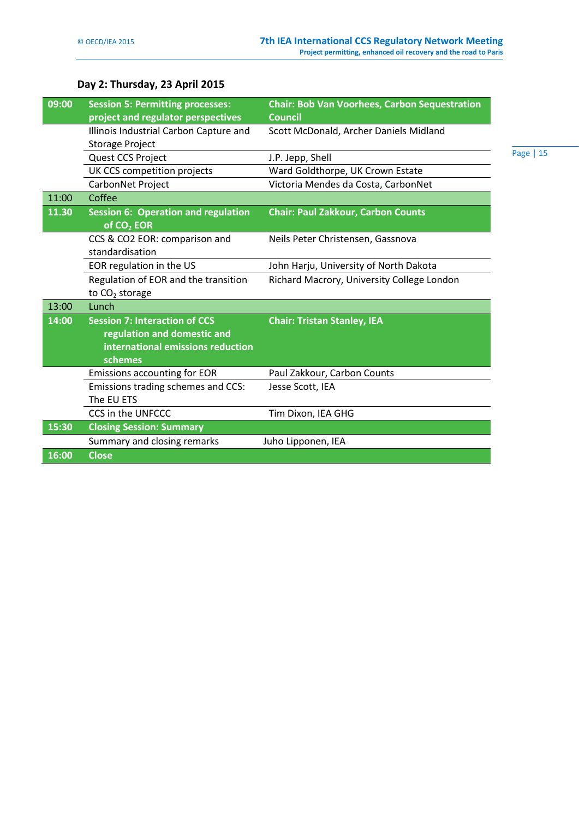$15$ 

#### **Day 2: Thursday, 23 April 2015**

| 09:00 | <b>Session 5: Permitting processes:</b>                                                                             | <b>Chair: Bob Van Voorhees, Carbon Sequestration</b> |      |
|-------|---------------------------------------------------------------------------------------------------------------------|------------------------------------------------------|------|
|       | project and regulator perspectives                                                                                  | <b>Council</b>                                       |      |
|       | Illinois Industrial Carbon Capture and                                                                              | Scott McDonald, Archer Daniels Midland               |      |
|       | <b>Storage Project</b>                                                                                              |                                                      |      |
|       | Quest CCS Project                                                                                                   | J.P. Jepp, Shell                                     | Page |
|       | UK CCS competition projects                                                                                         | Ward Goldthorpe, UK Crown Estate                     |      |
|       | CarbonNet Project                                                                                                   | Victoria Mendes da Costa, CarbonNet                  |      |
| 11:00 | Coffee                                                                                                              |                                                      |      |
| 11.30 | <b>Session 6: Operation and regulation</b><br>of CO <sub>2</sub> EOR                                                | <b>Chair: Paul Zakkour, Carbon Counts</b>            |      |
|       | CCS & CO2 EOR: comparison and<br>standardisation                                                                    | Neils Peter Christensen, Gassnova                    |      |
|       | EOR regulation in the US                                                                                            | John Harju, University of North Dakota               |      |
|       | Regulation of EOR and the transition                                                                                | Richard Macrory, University College London           |      |
|       | to CO <sub>2</sub> storage                                                                                          |                                                      |      |
| 13:00 | Lunch                                                                                                               |                                                      |      |
| 14:00 | <b>Session 7: Interaction of CCS</b><br>regulation and domestic and<br>international emissions reduction<br>schemes | <b>Chair: Tristan Stanley, IEA</b>                   |      |
|       | Emissions accounting for EOR                                                                                        | Paul Zakkour, Carbon Counts                          |      |
|       | Emissions trading schemes and CCS:<br>The EU ETS                                                                    | Jesse Scott, IEA                                     |      |
|       | CCS in the UNFCCC                                                                                                   | Tim Dixon, IEA GHG                                   |      |
| 15:30 | <b>Closing Session: Summary</b>                                                                                     |                                                      |      |
|       | Summary and closing remarks                                                                                         | Juho Lipponen, IEA                                   |      |
| 16:00 | <b>Close</b>                                                                                                        |                                                      |      |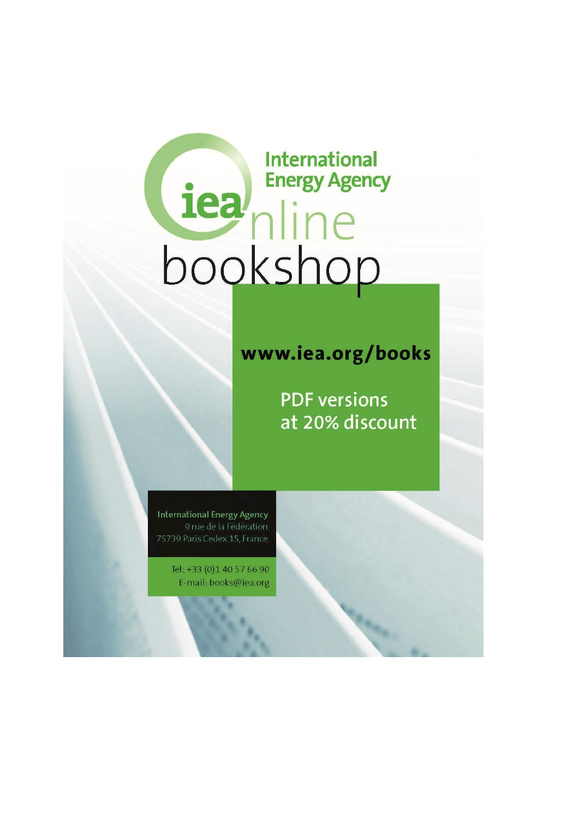# **International** iea hine

#### www.iea.org/books

**PDF** versions at 20% discount

**International Energy Agency** 9 rue de la Fédération 75739 Paris Cedex 15, France

> Tel: +33 (0)1 40 57 66 90 E-mail: books@iea.org